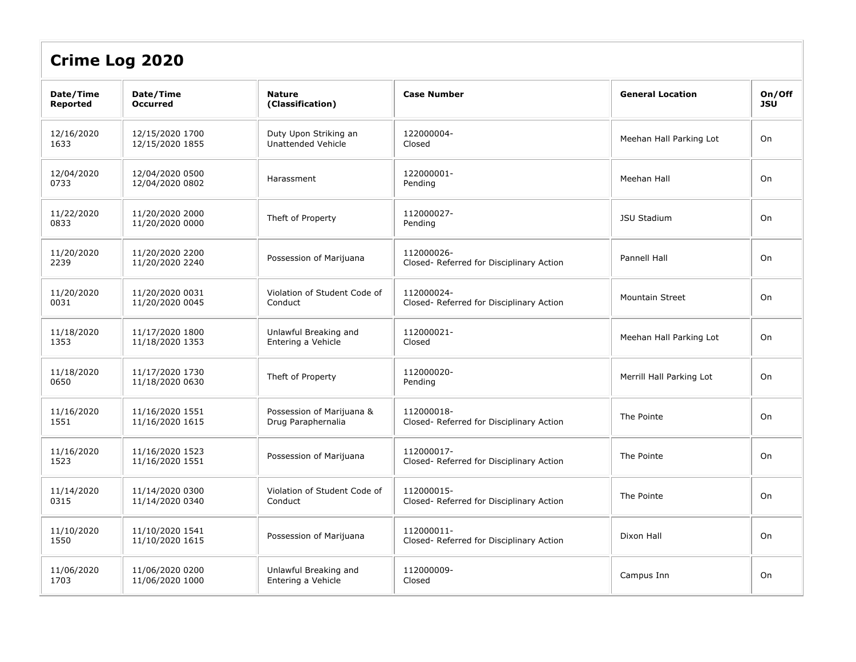| <b>Crime Log 2020</b>        |                                    |                                                 |                                                        |                          |                      |  |  |
|------------------------------|------------------------------------|-------------------------------------------------|--------------------------------------------------------|--------------------------|----------------------|--|--|
| Date/Time<br><b>Reported</b> | Date/Time<br><b>Occurred</b>       | <b>Nature</b><br>(Classification)               | <b>Case Number</b>                                     | <b>General Location</b>  | On/Off<br><b>JSU</b> |  |  |
| 12/16/2020<br>1633           | 12/15/2020 1700<br>12/15/2020 1855 | Duty Upon Striking an<br>Unattended Vehicle     | 122000004-<br>Closed                                   | Meehan Hall Parking Lot  | On                   |  |  |
| 12/04/2020<br>0733           | 12/04/2020 0500<br>12/04/2020 0802 | Harassment                                      | 122000001-<br>Pending                                  | Meehan Hall              | On                   |  |  |
| 11/22/2020<br>0833           | 11/20/2020 2000<br>11/20/2020 0000 | Theft of Property                               | 112000027-<br>Pending                                  | <b>JSU Stadium</b>       | On                   |  |  |
| 11/20/2020<br>2239           | 11/20/2020 2200<br>11/20/2020 2240 | Possession of Marijuana                         | 112000026-<br>Closed- Referred for Disciplinary Action | Pannell Hall             | On                   |  |  |
| 11/20/2020<br>0031           | 11/20/2020 0031<br>11/20/2020 0045 | Violation of Student Code of<br>Conduct         | 112000024-<br>Closed- Referred for Disciplinary Action | <b>Mountain Street</b>   | On                   |  |  |
| 11/18/2020<br>1353           | 11/17/2020 1800<br>11/18/2020 1353 | Unlawful Breaking and<br>Entering a Vehicle     | 112000021-<br>Closed                                   | Meehan Hall Parking Lot  | On                   |  |  |
| 11/18/2020<br>0650           | 11/17/2020 1730<br>11/18/2020 0630 | Theft of Property                               | 112000020-<br>Pending                                  | Merrill Hall Parking Lot | On                   |  |  |
| 11/16/2020<br>1551           | 11/16/2020 1551<br>11/16/2020 1615 | Possession of Marijuana &<br>Drug Paraphernalia | 112000018-<br>Closed- Referred for Disciplinary Action | The Pointe               | On                   |  |  |
| 11/16/2020<br>1523           | 11/16/2020 1523<br>11/16/2020 1551 | Possession of Marijuana                         | 112000017-<br>Closed- Referred for Disciplinary Action | The Pointe               | On                   |  |  |
| 11/14/2020<br>0315           | 11/14/2020 0300<br>11/14/2020 0340 | Violation of Student Code of<br>Conduct         | 112000015-<br>Closed- Referred for Disciplinary Action | The Pointe               | On                   |  |  |
| 11/10/2020<br>1550           | 11/10/2020 1541<br>11/10/2020 1615 | Possession of Marijuana                         | 112000011-<br>Closed- Referred for Disciplinary Action | Dixon Hall               | On                   |  |  |
| 11/06/2020<br>1703           | 11/06/2020 0200<br>11/06/2020 1000 | Unlawful Breaking and<br>Entering a Vehicle     | 112000009-<br>Closed                                   | Campus Inn               | On                   |  |  |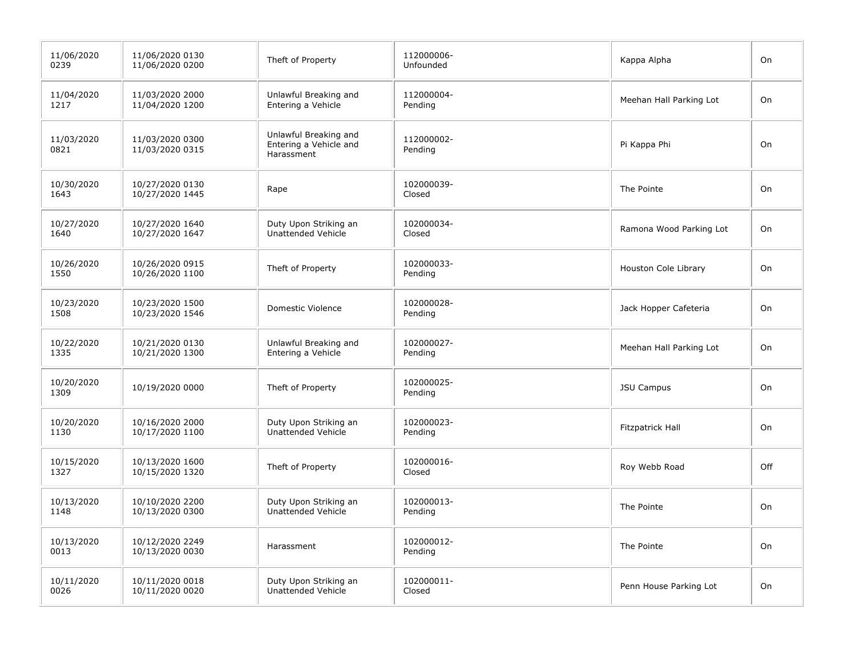| 11/06/2020<br>0239 | 11/06/2020 0130<br>11/06/2020 0200 | Theft of Property                                             | 112000006-<br>Unfounded | Kappa Alpha             | On  |
|--------------------|------------------------------------|---------------------------------------------------------------|-------------------------|-------------------------|-----|
| 11/04/2020<br>1217 | 11/03/2020 2000<br>11/04/2020 1200 | Unlawful Breaking and<br>Entering a Vehicle                   | 112000004-<br>Pending   | Meehan Hall Parking Lot | On  |
| 11/03/2020<br>0821 | 11/03/2020 0300<br>11/03/2020 0315 | Unlawful Breaking and<br>Entering a Vehicle and<br>Harassment | 112000002-<br>Pending   | Pi Kappa Phi            | On  |
| 10/30/2020<br>1643 | 10/27/2020 0130<br>10/27/2020 1445 | Rape                                                          | 102000039-<br>Closed    | The Pointe              | On  |
| 10/27/2020<br>1640 | 10/27/2020 1640<br>10/27/2020 1647 | Duty Upon Striking an<br>Unattended Vehicle                   | 102000034-<br>Closed    | Ramona Wood Parking Lot | On  |
| 10/26/2020<br>1550 | 10/26/2020 0915<br>10/26/2020 1100 | Theft of Property                                             | 102000033-<br>Pending   | Houston Cole Library    | On  |
| 10/23/2020<br>1508 | 10/23/2020 1500<br>10/23/2020 1546 | Domestic Violence                                             | 102000028-<br>Pending   | Jack Hopper Cafeteria   | On  |
| 10/22/2020<br>1335 | 10/21/2020 0130<br>10/21/2020 1300 | Unlawful Breaking and<br>Entering a Vehicle                   | 102000027-<br>Pending   | Meehan Hall Parking Lot | On  |
| 10/20/2020<br>1309 | 10/19/2020 0000                    | Theft of Property                                             | 102000025-<br>Pending   | <b>JSU Campus</b>       | On  |
| 10/20/2020<br>1130 | 10/16/2020 2000<br>10/17/2020 1100 | Duty Upon Striking an<br>Unattended Vehicle                   | 102000023-<br>Pending   | Fitzpatrick Hall        | On  |
| 10/15/2020<br>1327 | 10/13/2020 1600<br>10/15/2020 1320 | Theft of Property                                             | 102000016-<br>Closed    | Roy Webb Road           | Off |
| 10/13/2020<br>1148 | 10/10/2020 2200<br>10/13/2020 0300 | Duty Upon Striking an<br>Unattended Vehicle                   | 102000013-<br>Pending   | The Pointe              | On  |
| 10/13/2020<br>0013 | 10/12/2020 2249<br>10/13/2020 0030 | Harassment                                                    | 102000012-<br>Pending   | The Pointe              | On  |
| 10/11/2020<br>0026 | 10/11/2020 0018<br>10/11/2020 0020 | Duty Upon Striking an<br>Unattended Vehicle                   | 102000011-<br>Closed    | Penn House Parking Lot  | On  |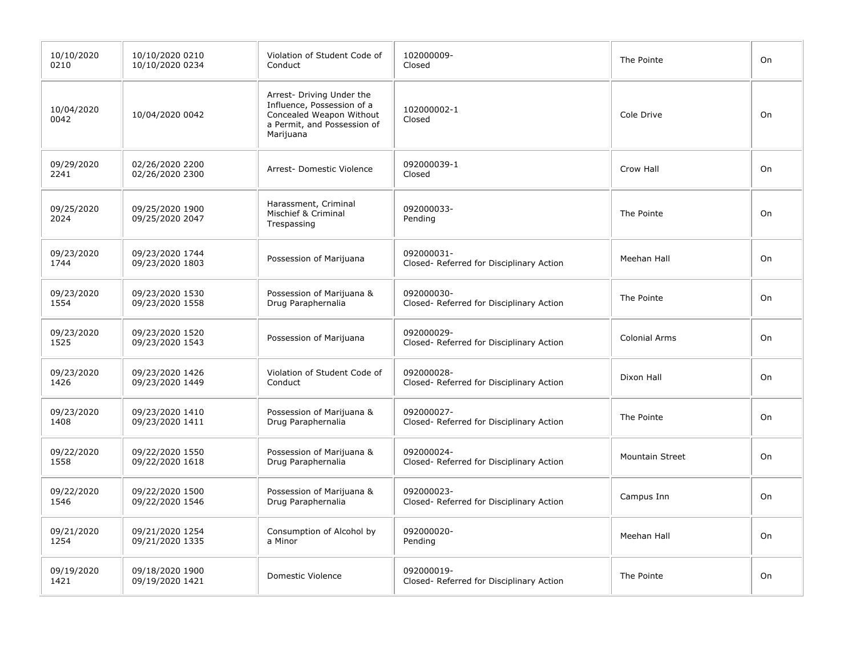| 10/10/2020<br>0210 | 10/10/2020 0210<br>10/10/2020 0234 | Violation of Student Code of<br>Conduct                                                                                         | 102000009-<br>Closed                                   | The Pointe             | On |
|--------------------|------------------------------------|---------------------------------------------------------------------------------------------------------------------------------|--------------------------------------------------------|------------------------|----|
| 10/04/2020<br>0042 | 10/04/2020 0042                    | Arrest- Driving Under the<br>Influence, Possession of a<br>Concealed Weapon Without<br>a Permit, and Possession of<br>Marijuana | 102000002-1<br>Closed                                  | Cole Drive             | On |
| 09/29/2020<br>2241 | 02/26/2020 2200<br>02/26/2020 2300 | Arrest- Domestic Violence                                                                                                       | 092000039-1<br>Closed                                  | Crow Hall              | On |
| 09/25/2020<br>2024 | 09/25/2020 1900<br>09/25/2020 2047 | Harassment, Criminal<br>Mischief & Criminal<br>Trespassing                                                                      | 092000033-<br>Pending                                  | The Pointe             | On |
| 09/23/2020<br>1744 | 09/23/2020 1744<br>09/23/2020 1803 | Possession of Marijuana                                                                                                         | 092000031-<br>Closed- Referred for Disciplinary Action | Meehan Hall            | On |
| 09/23/2020<br>1554 | 09/23/2020 1530<br>09/23/2020 1558 | Possession of Marijuana &<br>Drug Paraphernalia                                                                                 | 092000030-<br>Closed- Referred for Disciplinary Action | The Pointe             | On |
| 09/23/2020<br>1525 | 09/23/2020 1520<br>09/23/2020 1543 | Possession of Marijuana                                                                                                         | 092000029-<br>Closed- Referred for Disciplinary Action | <b>Colonial Arms</b>   | On |
| 09/23/2020<br>1426 | 09/23/2020 1426<br>09/23/2020 1449 | Violation of Student Code of<br>Conduct                                                                                         | 092000028-<br>Closed- Referred for Disciplinary Action | Dixon Hall             | On |
| 09/23/2020<br>1408 | 09/23/2020 1410<br>09/23/2020 1411 | Possession of Marijuana &<br>Drug Paraphernalia                                                                                 | 092000027-<br>Closed- Referred for Disciplinary Action | The Pointe             | On |
| 09/22/2020<br>1558 | 09/22/2020 1550<br>09/22/2020 1618 | Possession of Marijuana &<br>Drug Paraphernalia                                                                                 | 092000024-<br>Closed- Referred for Disciplinary Action | <b>Mountain Street</b> | On |
| 09/22/2020<br>1546 | 09/22/2020 1500<br>09/22/2020 1546 | Possession of Marijuana &<br>Drug Paraphernalia                                                                                 | 092000023-<br>Closed- Referred for Disciplinary Action | Campus Inn             | On |
| 09/21/2020<br>1254 | 09/21/2020 1254<br>09/21/2020 1335 | Consumption of Alcohol by<br>a Minor                                                                                            | 092000020-<br>Pending                                  | Meehan Hall            | On |
| 09/19/2020<br>1421 | 09/18/2020 1900<br>09/19/2020 1421 | Domestic Violence                                                                                                               | 092000019-<br>Closed- Referred for Disciplinary Action | The Pointe             | On |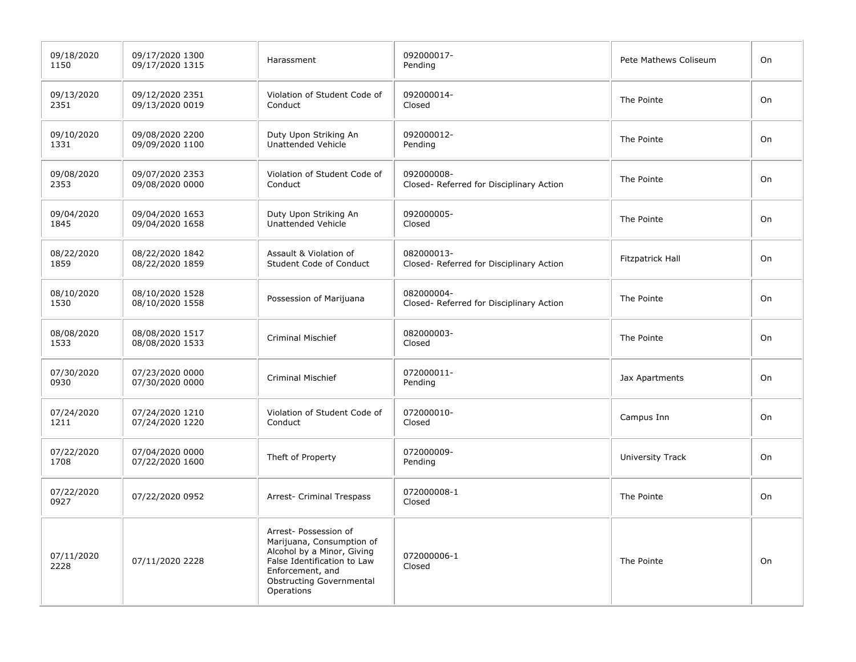| 09/18/2020<br>1150 | 09/17/2020 1300<br>09/17/2020 1315 | Harassment                                                                                                                                                                           | 092000017-<br>Pending                                  | Pete Mathews Coliseum | On |
|--------------------|------------------------------------|--------------------------------------------------------------------------------------------------------------------------------------------------------------------------------------|--------------------------------------------------------|-----------------------|----|
| 09/13/2020<br>2351 | 09/12/2020 2351<br>09/13/2020 0019 | Violation of Student Code of<br>Conduct                                                                                                                                              | 092000014-<br>Closed                                   | The Pointe            | On |
| 09/10/2020<br>1331 | 09/08/2020 2200<br>09/09/2020 1100 | Duty Upon Striking An<br>Unattended Vehicle                                                                                                                                          | 092000012-<br>Pending                                  | The Pointe            | On |
| 09/08/2020<br>2353 | 09/07/2020 2353<br>09/08/2020 0000 | Violation of Student Code of<br>Conduct                                                                                                                                              | 092000008-<br>Closed- Referred for Disciplinary Action | The Pointe            | On |
| 09/04/2020<br>1845 | 09/04/2020 1653<br>09/04/2020 1658 | Duty Upon Striking An<br>Unattended Vehicle                                                                                                                                          | 092000005-<br>Closed                                   | The Pointe            | On |
| 08/22/2020<br>1859 | 08/22/2020 1842<br>08/22/2020 1859 | Assault & Violation of<br>Student Code of Conduct                                                                                                                                    | 082000013-<br>Closed- Referred for Disciplinary Action | Fitzpatrick Hall      | On |
| 08/10/2020<br>1530 | 08/10/2020 1528<br>08/10/2020 1558 | Possession of Marijuana                                                                                                                                                              | 082000004-<br>Closed- Referred for Disciplinary Action | The Pointe            | On |
| 08/08/2020<br>1533 | 08/08/2020 1517<br>08/08/2020 1533 | <b>Criminal Mischief</b>                                                                                                                                                             | 082000003-<br>Closed                                   | The Pointe            | On |
| 07/30/2020<br>0930 | 07/23/2020 0000<br>07/30/2020 0000 | <b>Criminal Mischief</b>                                                                                                                                                             | 072000011-<br>Pending                                  | Jax Apartments        | On |
| 07/24/2020<br>1211 | 07/24/2020 1210<br>07/24/2020 1220 | Violation of Student Code of<br>Conduct                                                                                                                                              | 072000010-<br>Closed                                   | Campus Inn            | On |
| 07/22/2020<br>1708 | 07/04/2020 0000<br>07/22/2020 1600 | Theft of Property                                                                                                                                                                    | 072000009-<br>Pending                                  | University Track      | On |
| 07/22/2020<br>0927 | 07/22/2020 0952                    | Arrest- Criminal Trespass                                                                                                                                                            | 072000008-1<br>Closed                                  | The Pointe            | On |
| 07/11/2020<br>2228 | 07/11/2020 2228                    | Arrest- Possession of<br>Marijuana, Consumption of<br>Alcohol by a Minor, Giving<br>False Identification to Law<br>Enforcement, and<br><b>Obstructing Governmental</b><br>Operations | 072000006-1<br>Closed                                  | The Pointe            | On |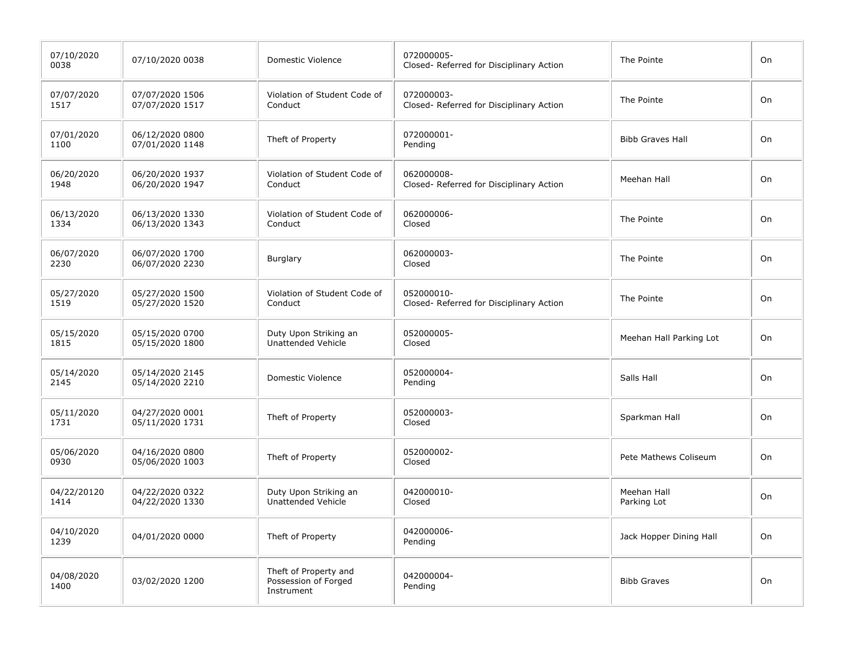| 07/10/2020<br>0038  | 07/10/2020 0038                    | Domestic Violence                                           | 072000005-<br>Closed- Referred for Disciplinary Action | The Pointe                 | On |
|---------------------|------------------------------------|-------------------------------------------------------------|--------------------------------------------------------|----------------------------|----|
| 07/07/2020<br>1517  | 07/07/2020 1506<br>07/07/2020 1517 | Violation of Student Code of<br>Conduct                     | 072000003-<br>Closed- Referred for Disciplinary Action | The Pointe                 | On |
| 07/01/2020<br>1100  | 06/12/2020 0800<br>07/01/2020 1148 | Theft of Property                                           | 072000001-<br>Pending                                  | <b>Bibb Graves Hall</b>    | On |
| 06/20/2020<br>1948  | 06/20/2020 1937<br>06/20/2020 1947 | Violation of Student Code of<br>Conduct                     | 062000008-<br>Closed- Referred for Disciplinary Action | Meehan Hall                | On |
| 06/13/2020<br>1334  | 06/13/2020 1330<br>06/13/2020 1343 | Violation of Student Code of<br>Conduct                     | 062000006-<br>Closed                                   | The Pointe                 | On |
| 06/07/2020<br>2230  | 06/07/2020 1700<br>06/07/2020 2230 | Burglary                                                    | 062000003-<br>Closed                                   | The Pointe                 | On |
| 05/27/2020<br>1519  | 05/27/2020 1500<br>05/27/2020 1520 | Violation of Student Code of<br>Conduct                     | 052000010-<br>Closed- Referred for Disciplinary Action | The Pointe                 | On |
| 05/15/2020<br>1815  | 05/15/2020 0700<br>05/15/2020 1800 | Duty Upon Striking an<br>Unattended Vehicle                 | 052000005-<br>Closed                                   | Meehan Hall Parking Lot    | On |
| 05/14/2020<br>2145  | 05/14/2020 2145<br>05/14/2020 2210 | Domestic Violence                                           | 052000004-<br>Pending                                  | Salls Hall                 | On |
| 05/11/2020<br>1731  | 04/27/2020 0001<br>05/11/2020 1731 | Theft of Property                                           | 052000003-<br>Closed                                   | Sparkman Hall              | On |
| 05/06/2020<br>0930  | 04/16/2020 0800<br>05/06/2020 1003 | Theft of Property                                           | 052000002-<br>Closed                                   | Pete Mathews Coliseum      | On |
| 04/22/20120<br>1414 | 04/22/2020 0322<br>04/22/2020 1330 | Duty Upon Striking an<br>Unattended Vehicle                 | 042000010-<br>Closed                                   | Meehan Hall<br>Parking Lot | On |
| 04/10/2020<br>1239  | 04/01/2020 0000                    | Theft of Property                                           | 042000006-<br>Pending                                  | Jack Hopper Dining Hall    | On |
| 04/08/2020<br>1400  | 03/02/2020 1200                    | Theft of Property and<br>Possession of Forged<br>Instrument | 042000004-<br>Pending                                  | <b>Bibb Graves</b>         | On |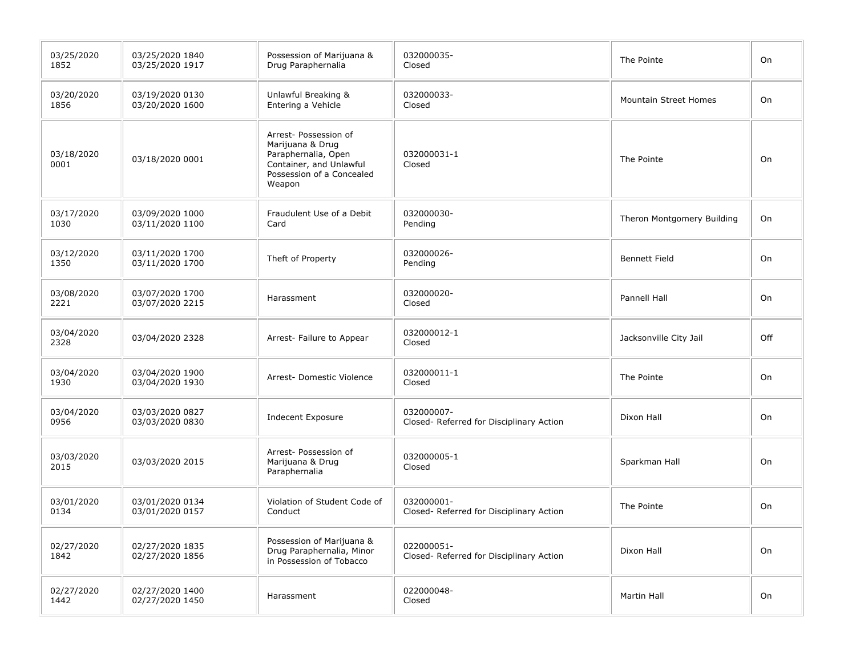| 03/25/2020<br>1852 | 03/25/2020 1840<br>03/25/2020 1917 | Possession of Marijuana &<br>Drug Paraphernalia                                                                                    | 032000035-<br>Closed                                   | The Pointe                   | On  |
|--------------------|------------------------------------|------------------------------------------------------------------------------------------------------------------------------------|--------------------------------------------------------|------------------------------|-----|
| 03/20/2020<br>1856 | 03/19/2020 0130<br>03/20/2020 1600 | Unlawful Breaking &<br>Entering a Vehicle                                                                                          | 032000033-<br>Closed                                   | <b>Mountain Street Homes</b> | On  |
| 03/18/2020<br>0001 | 03/18/2020 0001                    | Arrest- Possession of<br>Marijuana & Drug<br>Paraphernalia, Open<br>Container, and Unlawful<br>Possession of a Concealed<br>Weapon | 032000031-1<br>Closed                                  | The Pointe                   | On  |
| 03/17/2020<br>1030 | 03/09/2020 1000<br>03/11/2020 1100 | Fraudulent Use of a Debit<br>Card                                                                                                  | 032000030-<br>Pending                                  | Theron Montgomery Building   | On  |
| 03/12/2020<br>1350 | 03/11/2020 1700<br>03/11/2020 1700 | Theft of Property                                                                                                                  | 032000026-<br>Pending                                  | <b>Bennett Field</b>         | On  |
| 03/08/2020<br>2221 | 03/07/2020 1700<br>03/07/2020 2215 | Harassment                                                                                                                         | 032000020-<br>Closed                                   | Pannell Hall                 | On  |
| 03/04/2020<br>2328 | 03/04/2020 2328                    | Arrest- Failure to Appear                                                                                                          | 032000012-1<br>Closed                                  | Jacksonville City Jail       | Off |
| 03/04/2020<br>1930 | 03/04/2020 1900<br>03/04/2020 1930 | Arrest- Domestic Violence                                                                                                          | 032000011-1<br>Closed                                  | The Pointe                   | On  |
| 03/04/2020<br>0956 | 03/03/2020 0827<br>03/03/2020 0830 | <b>Indecent Exposure</b>                                                                                                           | 032000007-<br>Closed- Referred for Disciplinary Action | Dixon Hall                   | On  |
| 03/03/2020<br>2015 | 03/03/2020 2015                    | Arrest- Possession of<br>Marijuana & Drug<br>Paraphernalia                                                                         | 032000005-1<br>Closed                                  | Sparkman Hall                | On  |
| 03/01/2020<br>0134 | 03/01/2020 0134<br>03/01/2020 0157 | Violation of Student Code of<br>Conduct                                                                                            | 032000001-<br>Closed- Referred for Disciplinary Action | The Pointe                   | On  |
| 02/27/2020<br>1842 | 02/27/2020 1835<br>02/27/2020 1856 | Possession of Marijuana &<br>Drug Paraphernalia, Minor<br>in Possession of Tobacco                                                 | 022000051-<br>Closed- Referred for Disciplinary Action | Dixon Hall                   | On  |
| 02/27/2020<br>1442 | 02/27/2020 1400<br>02/27/2020 1450 | Harassment                                                                                                                         | 022000048-<br>Closed                                   | Martin Hall                  | On  |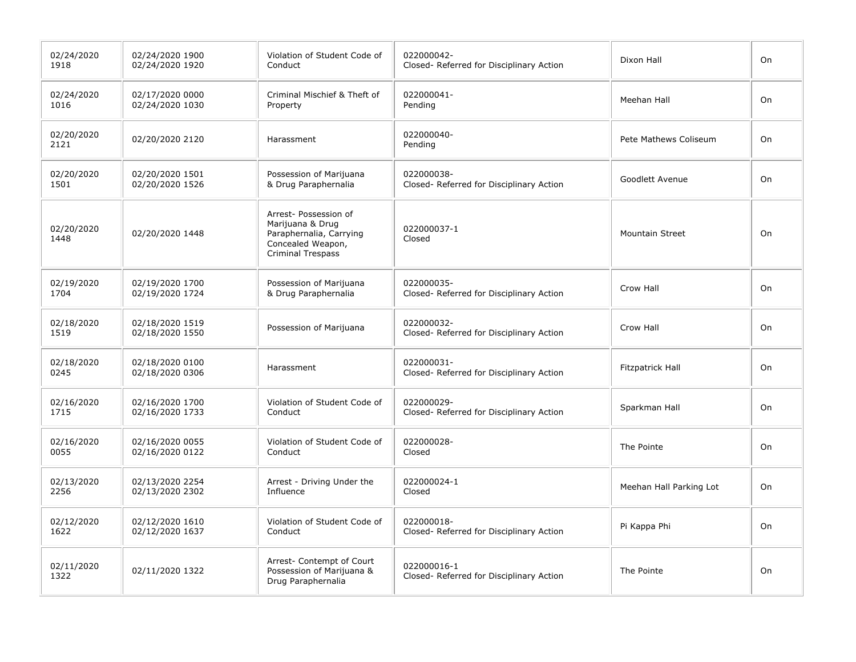| 02/24/2020<br>1918 | 02/24/2020 1900<br>02/24/2020 1920 | Violation of Student Code of<br>Conduct                                                                               | 022000042-<br>Closed- Referred for Disciplinary Action  | Dixon Hall              | On |
|--------------------|------------------------------------|-----------------------------------------------------------------------------------------------------------------------|---------------------------------------------------------|-------------------------|----|
| 02/24/2020<br>1016 | 02/17/2020 0000<br>02/24/2020 1030 | Criminal Mischief & Theft of<br>Property                                                                              | 022000041-<br>Pending                                   | Meehan Hall             | On |
| 02/20/2020<br>2121 | 02/20/2020 2120                    | Harassment                                                                                                            | 022000040-<br>Pending                                   | Pete Mathews Coliseum   | On |
| 02/20/2020<br>1501 | 02/20/2020 1501<br>02/20/2020 1526 | Possession of Marijuana<br>& Drug Paraphernalia                                                                       | 022000038-<br>Closed- Referred for Disciplinary Action  | Goodlett Avenue         | On |
| 02/20/2020<br>1448 | 02/20/2020 1448                    | Arrest- Possession of<br>Marijuana & Drug<br>Paraphernalia, Carrying<br>Concealed Weapon,<br><b>Criminal Trespass</b> | 022000037-1<br>Closed                                   | Mountain Street         | On |
| 02/19/2020<br>1704 | 02/19/2020 1700<br>02/19/2020 1724 | Possession of Marijuana<br>& Drug Paraphernalia                                                                       | 022000035-<br>Closed- Referred for Disciplinary Action  | Crow Hall               | On |
| 02/18/2020<br>1519 | 02/18/2020 1519<br>02/18/2020 1550 | Possession of Marijuana                                                                                               | 022000032-<br>Closed- Referred for Disciplinary Action  | Crow Hall               | On |
| 02/18/2020<br>0245 | 02/18/2020 0100<br>02/18/2020 0306 | Harassment                                                                                                            | 022000031-<br>Closed- Referred for Disciplinary Action  | Fitzpatrick Hall        | On |
| 02/16/2020<br>1715 | 02/16/2020 1700<br>02/16/2020 1733 | Violation of Student Code of<br>Conduct                                                                               | 022000029-<br>Closed- Referred for Disciplinary Action  | Sparkman Hall           | On |
| 02/16/2020<br>0055 | 02/16/2020 0055<br>02/16/2020 0122 | Violation of Student Code of<br>Conduct                                                                               | 022000028-<br>Closed                                    | The Pointe              | On |
| 02/13/2020<br>2256 | 02/13/2020 2254<br>02/13/2020 2302 | Arrest - Driving Under the<br>Influence                                                                               | 022000024-1<br>Closed                                   | Meehan Hall Parking Lot | On |
| 02/12/2020<br>1622 | 02/12/2020 1610<br>02/12/2020 1637 | Violation of Student Code of<br>Conduct                                                                               | 022000018-<br>Closed- Referred for Disciplinary Action  | Pi Kappa Phi            | On |
| 02/11/2020<br>1322 | 02/11/2020 1322                    | Arrest- Contempt of Court<br>Possession of Marijuana &<br>Drug Paraphernalia                                          | 022000016-1<br>Closed- Referred for Disciplinary Action | The Pointe              | On |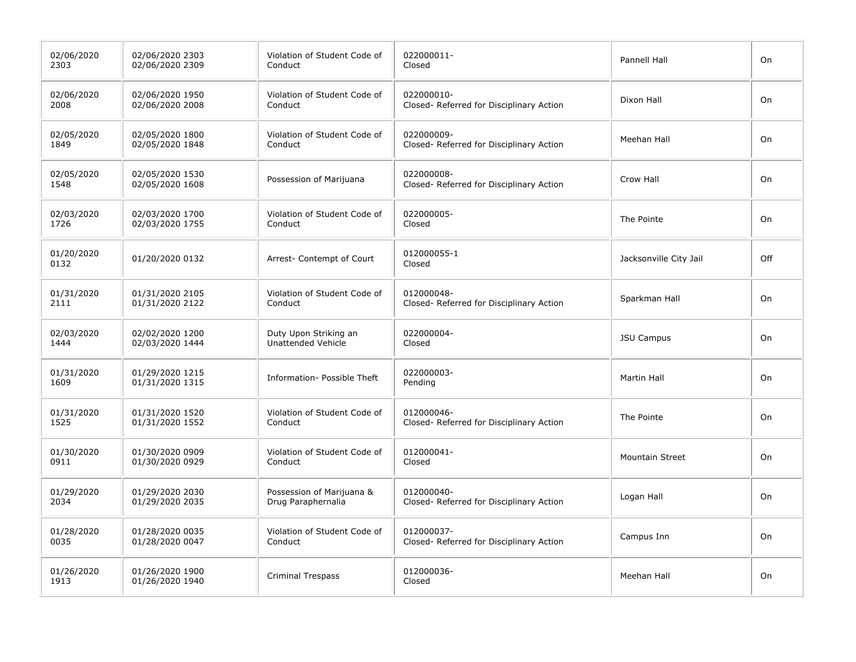| 02/06/2020<br>2303 | 02/06/2020 2303<br>02/06/2020 2309 | Violation of Student Code of<br>Conduct         | 022000011-<br>Closed                                   | Pannell Hall           | On  |
|--------------------|------------------------------------|-------------------------------------------------|--------------------------------------------------------|------------------------|-----|
| 02/06/2020<br>2008 | 02/06/2020 1950<br>02/06/2020 2008 | Violation of Student Code of<br>Conduct         | 022000010-<br>Closed- Referred for Disciplinary Action | Dixon Hall             | On  |
| 02/05/2020<br>1849 | 02/05/2020 1800<br>02/05/2020 1848 | Violation of Student Code of<br>Conduct         | 022000009-<br>Closed- Referred for Disciplinary Action | Meehan Hall            | On  |
| 02/05/2020<br>1548 | 02/05/2020 1530<br>02/05/2020 1608 | Possession of Marijuana                         | 022000008-<br>Closed- Referred for Disciplinary Action | Crow Hall              | On  |
| 02/03/2020<br>1726 | 02/03/2020 1700<br>02/03/2020 1755 | Violation of Student Code of<br>Conduct         | 022000005-<br>Closed                                   | The Pointe             | On  |
| 01/20/2020<br>0132 | 01/20/2020 0132                    | Arrest- Contempt of Court                       | 012000055-1<br>Closed                                  | Jacksonville City Jail | Off |
| 01/31/2020<br>2111 | 01/31/2020 2105<br>01/31/2020 2122 | Violation of Student Code of<br>Conduct         | 012000048-<br>Closed- Referred for Disciplinary Action | Sparkman Hall          | On  |
| 02/03/2020<br>1444 | 02/02/2020 1200<br>02/03/2020 1444 | Duty Upon Striking an<br>Unattended Vehicle     | 022000004-<br>Closed                                   | <b>JSU Campus</b>      | On  |
| 01/31/2020<br>1609 | 01/29/2020 1215<br>01/31/2020 1315 | Information- Possible Theft                     | 022000003-<br>Pending                                  | <b>Martin Hall</b>     | On  |
| 01/31/2020<br>1525 | 01/31/2020 1520<br>01/31/2020 1552 | Violation of Student Code of<br>Conduct         | 012000046-<br>Closed- Referred for Disciplinary Action | The Pointe             | On  |
| 01/30/2020<br>0911 | 01/30/2020 0909<br>01/30/2020 0929 | Violation of Student Code of<br>Conduct         | 012000041-<br>Closed                                   | <b>Mountain Street</b> | On  |
| 01/29/2020<br>2034 | 01/29/2020 2030<br>01/29/2020 2035 | Possession of Marijuana &<br>Drug Paraphernalia | 012000040-<br>Closed- Referred for Disciplinary Action | Logan Hall             | On  |
| 01/28/2020<br>0035 | 01/28/2020 0035<br>01/28/2020 0047 | Violation of Student Code of<br>Conduct         | 012000037-<br>Closed- Referred for Disciplinary Action | Campus Inn             | On  |
| 01/26/2020<br>1913 | 01/26/2020 1900<br>01/26/2020 1940 | <b>Criminal Trespass</b>                        | 012000036-<br>Closed                                   | Meehan Hall            | On  |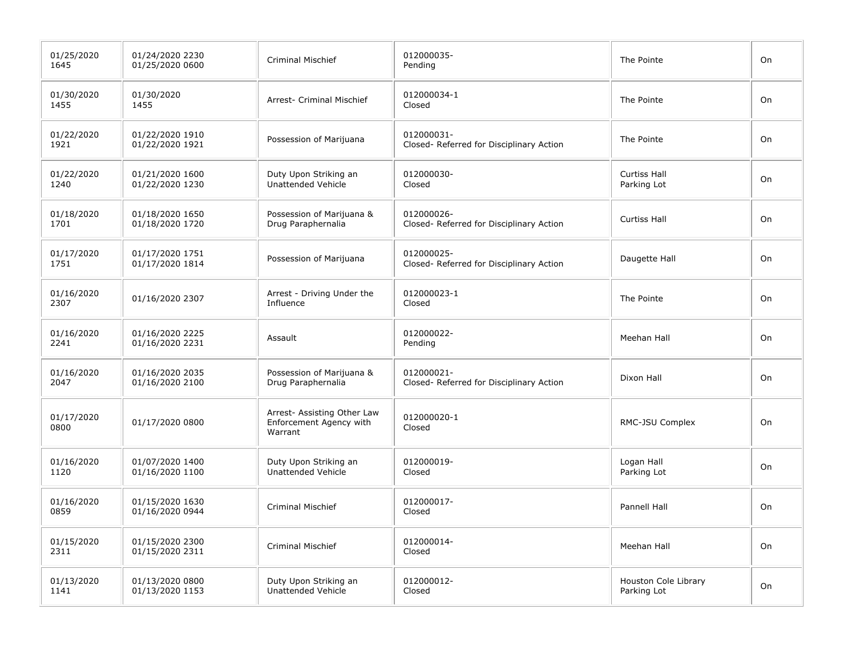| 01/25/2020<br>1645 | 01/24/2020 2230<br>01/25/2020 0600 | <b>Criminal Mischief</b>                                          | 012000035-<br>Pending                                  | The Pointe                          | On |
|--------------------|------------------------------------|-------------------------------------------------------------------|--------------------------------------------------------|-------------------------------------|----|
| 01/30/2020<br>1455 | 01/30/2020<br>1455                 | Arrest- Criminal Mischief                                         | 012000034-1<br>Closed                                  | The Pointe                          | On |
| 01/22/2020<br>1921 | 01/22/2020 1910<br>01/22/2020 1921 | Possession of Marijuana                                           | 012000031-<br>Closed- Referred for Disciplinary Action | The Pointe                          | On |
| 01/22/2020<br>1240 | 01/21/2020 1600<br>01/22/2020 1230 | Duty Upon Striking an<br><b>Unattended Vehicle</b>                | 012000030-<br>Closed                                   | <b>Curtiss Hall</b><br>Parking Lot  | On |
| 01/18/2020<br>1701 | 01/18/2020 1650<br>01/18/2020 1720 | Possession of Marijuana &<br>Drug Paraphernalia                   | 012000026-<br>Closed- Referred for Disciplinary Action | <b>Curtiss Hall</b>                 | On |
| 01/17/2020<br>1751 | 01/17/2020 1751<br>01/17/2020 1814 | Possession of Marijuana                                           | 012000025-<br>Closed- Referred for Disciplinary Action | Daugette Hall                       | On |
| 01/16/2020<br>2307 | 01/16/2020 2307                    | Arrest - Driving Under the<br>Influence                           | 012000023-1<br>Closed                                  | The Pointe                          | On |
| 01/16/2020<br>2241 | 01/16/2020 2225<br>01/16/2020 2231 | Assault                                                           | 012000022-<br>Pending                                  | Meehan Hall                         | On |
| 01/16/2020<br>2047 | 01/16/2020 2035<br>01/16/2020 2100 | Possession of Marijuana &<br>Drug Paraphernalia                   | 012000021-<br>Closed- Referred for Disciplinary Action | Dixon Hall                          | On |
| 01/17/2020<br>0800 | 01/17/2020 0800                    | Arrest- Assisting Other Law<br>Enforcement Agency with<br>Warrant | 012000020-1<br>Closed                                  | RMC-JSU Complex                     | On |
| 01/16/2020<br>1120 | 01/07/2020 1400<br>01/16/2020 1100 | Duty Upon Striking an<br>Unattended Vehicle                       | 012000019-<br>Closed                                   | Logan Hall<br>Parking Lot           | On |
| 01/16/2020<br>0859 | 01/15/2020 1630<br>01/16/2020 0944 | <b>Criminal Mischief</b>                                          | 012000017-<br>Closed                                   | Pannell Hall                        | On |
| 01/15/2020<br>2311 | 01/15/2020 2300<br>01/15/2020 2311 | <b>Criminal Mischief</b>                                          | 012000014-<br>Closed                                   | Meehan Hall                         | On |
| 01/13/2020<br>1141 | 01/13/2020 0800<br>01/13/2020 1153 | Duty Upon Striking an<br>Unattended Vehicle                       | 012000012-<br>Closed                                   | Houston Cole Library<br>Parking Lot | On |